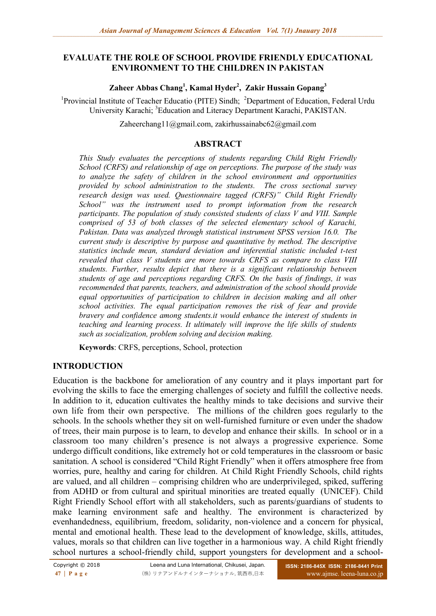### **EVALUATE THE ROLE OF SCHOOL PROVIDE FRIENDLY EDUCATIONAL ENVIRONMENT TO THE CHILDREN IN PAKISTAN**

**Zaheer Abbas Chang<sup>1</sup> , Kamal Hyder<sup>2</sup> , Zakir Hussain Gopang<sup>3</sup>**

<sup>1</sup> Provincial Institute of Teacher Educatio (PITE) Sindh; <sup>2</sup>Department of Education, Federal Urdu University Karachi; <sup>3</sup>Education and Literacy Department Karachi, PAKISTAN.

[Zaheerchang11@gmail.com,](mailto:Zaheerchang11@gmail.com) [zakirhussainabc62@gmail.com](mailto:zakirhussainabc62@gmail.com)

#### **ABSTRACT**

*This Study evaluates the perceptions of students regarding Child Right Friendly School (CRFS) and relationship of age on perceptions. The purpose of the study was to analyze the safety of children in the school environment and opportunities provided by school administration to the students. The cross sectional survey research design was used. Questionnaire tagged (CRFS)" Child Right Friendly School" was the instrument used to prompt information from the research participants. The population of study consisted students of class V and VIII. Sample comprised of 53 of both classes of the selected elementary school of Karachi, Pakistan. Data was analyzed through statistical instrument SPSS version 16.0. The current study is descriptive by purpose and quantitative by method. The descriptive statistics include mean, standard deviation and inferential statistic included t-test revealed that class V students are more towards CRFS as compare to class VIII students. Further, results depict that there is a significant relationship between students of age and perceptions regarding CRFS. On the basis of findings, it was recommended that parents, teachers, and administration of the school should provide equal opportunities of participation to children in decision making and all other school activities. The equal participation removes the risk of fear and provide bravery and confidence among students.it would enhance the interest of students in teaching and learning process. It ultimately will improve the life skills of students such as socialization, problem solving and decision making.*

**Keywords**: CRFS, perceptions, School, protection

## **INTRODUCTION**

Education is the backbone for amelioration of any country and it plays important part for evolving the skills to face the emerging challenges of society and fulfill the collective needs. In addition to it, education cultivates the healthy minds to take decisions and survive their own life from their own perspective. The millions of the children goes regularly to the schools. In the schools whether they sit on well-furnished furniture or even under the shadow of trees, their main purpose is to learn, to develop and enhance their skills. In school or in a classroom too many children's presence is not always a progressive experience. Some undergo difficult conditions, like extremely hot or cold temperatures in the classroom or basic sanitation. A school is considered "Child Right Friendly" when it offers atmosphere free from worries, pure, healthy and caring for children. At Child Right Friendly Schools, child rights are valued, and all children – comprising children who are underprivileged, spiked, suffering from ADHD or from cultural and spiritual minorities are treated equally (UNICEF). Child Right Friendly School effort with all stakeholders, such as parents/guardians of students to make learning environment safe and healthy. The environment is characterized by evenhandedness, equilibrium, freedom, solidarity, non-violence and a concern for physical, mental and emotional health. These lead to the development of knowledge, skills, attitudes, values, morals so that children can live together in a harmonious way. A child Right friendly school nurtures a school-friendly child, support youngsters for development and a school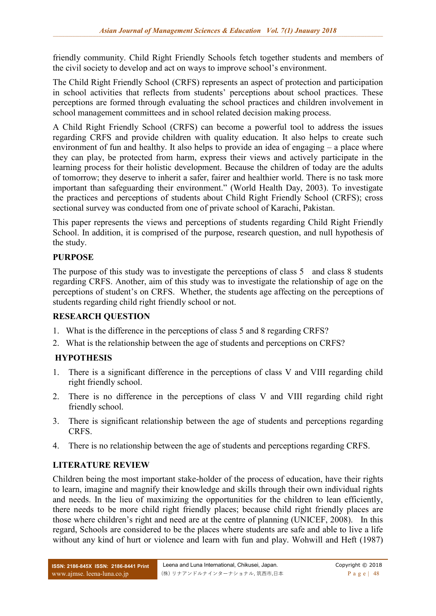friendly community. Child Right Friendly Schools fetch together students and members of the civil society to develop and act on ways to improve school's environment.

The Child Right Friendly School (CRFS) represents an aspect of protection and participation in school activities that reflects from students' perceptions about school practices. These perceptions are formed through evaluating the school practices and children involvement in school management committees and in school related decision making process.

A Child Right Friendly School (CRFS) can become a powerful tool to address the issues regarding CRFS and provide children with quality education. It also helps to create such environment of fun and healthy. It also helps to provide an idea of engaging – a place where they can play, be protected from harm, express their views and actively participate in the learning process for their holistic development. Because the children of today are the adults of tomorrow; they deserve to inherit a safer, fairer and healthier world. There is no task more important than safeguarding their environment." (World Health Day, 2003). To investigate the practices and perceptions of students about Child Right Friendly School (CRFS); cross sectional survey was conducted from one of private school of Karachi, Pakistan.

This paper represents the views and perceptions of students regarding Child Right Friendly School. In addition, it is comprised of the purpose, research question, and null hypothesis of the study.

# **PURPOSE**

The purpose of this study was to investigate the perceptions of class 5 and class 8 students regarding CRFS. Another, aim of this study was to investigate the relationship of age on the perceptions of student's on CRFS. Whether, the students age affecting on the perceptions of students regarding child right friendly school or not.

# **RESEARCH QUESTION**

- 1. What is the difference in the perceptions of class 5 and 8 regarding CRFS?
- 2. What is the relationship between the age of students and perceptions on CRFS?

# **HYPOTHESIS**

- 1. There is a significant difference in the perceptions of class V and VIII regarding child right friendly school.
- 2. There is no difference in the perceptions of class V and VIII regarding child right friendly school.
- 3. There is significant relationship between the age of students and perceptions regarding CRFS.
- 4. There is no relationship between the age of students and perceptions regarding CRFS.

# **LITERATURE REVIEW**

Children being the most important stake-holder of the process of education, have their rights to learn, imagine and magnify their knowledge and skills through their own individual rights and needs. In the lieu of maximizing the opportunities for the children to lean efficiently, there needs to be more child right friendly places; because child right friendly places are those where children's right and need are at the centre of planning (UNICEF, 2008). In this regard, Schools are considered to be the places where students are safe and able to live a life without any kind of hurt or violence and learn with fun and play. Wohwill and Heft (1987)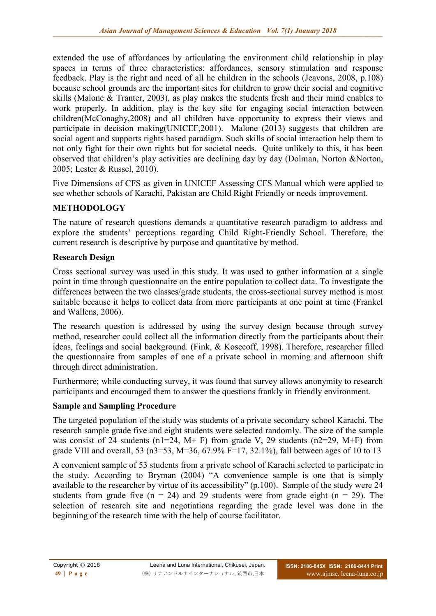extended the use of affordances by articulating the environment child relationship in play spaces in terms of three characteristics: affordances, sensory stimulation and response feedback. Play is the right and need of all he children in the schools (Jeavons, 2008, p.108) because school grounds are the important sites for children to grow their social and cognitive skills (Malone & Tranter, 2003), as play makes the students fresh and their mind enables to work properly. In addition, play is the key site for engaging social interaction between children(McConaghy,2008) and all children have opportunity to express their views and participate in decision making(UNICEF,2001). Malone (2013) suggests that children are social agent and supports rights based paradigm. Such skills of social interaction help them to not only fight for their own rights but for societal needs. Quite unlikely to this, it has been observed that children's play activities are declining day by day (Dolman, Norton &Norton, 2005; Lester & Russel, 2010).

Five Dimensions of CFS as given in UNICEF Assessing CFS Manual which were applied to see whether schools of Karachi, Pakistan are Child Right Friendly or needs improvement.

# **METHODOLOGY**

The nature of research questions demands a quantitative research paradigm to address and explore the students' perceptions regarding Child Right-Friendly School. Therefore, the current research is descriptive by purpose and quantitative by method.

# **Research Design**

Cross sectional survey was used in this study. It was used to gather information at a single point in time through questionnaire on the entire population to collect data. To investigate the differences between the two classes/grade students, the cross-sectional survey method is most suitable because it helps to collect data from more participants at one point at time (Frankel and Wallens, 2006).

The research question is addressed by using the survey design because through survey method, researcher could collect all the information directly from the participants about their ideas, feelings and social background. (Fink, & Kosecoff, 1998). Therefore, researcher filled the questionnaire from samples of one of a private school in morning and afternoon shift through direct administration.

Furthermore; while conducting survey, it was found that survey allows anonymity to research participants and encouraged them to answer the questions frankly in friendly environment.

# **Sample and Sampling Procedure**

The targeted population of the study was students of a private secondary school Karachi. The research sample grade five and eight students were selected randomly. The size of the sample was consist of 24 students (n1=24, M+ F) from grade V, 29 students (n2=29, M+F) from grade VIII and overall, 53 (n3=53, M=36, 67.9% F=17, 32.1%), fall between ages of 10 to 13

A convenient sample of 53 students from a private school of Karachi selected to participate in the study. According to Bryman (2004) "A convenience sample is one that is simply available to the researcher by virtue of its accessibility" (p.100). Sample of the study were 24 students from grade five  $(n = 24)$  and 29 students were from grade eight  $(n = 29)$ . The selection of research site and negotiations regarding the grade level was done in the beginning of the research time with the help of course facilitator.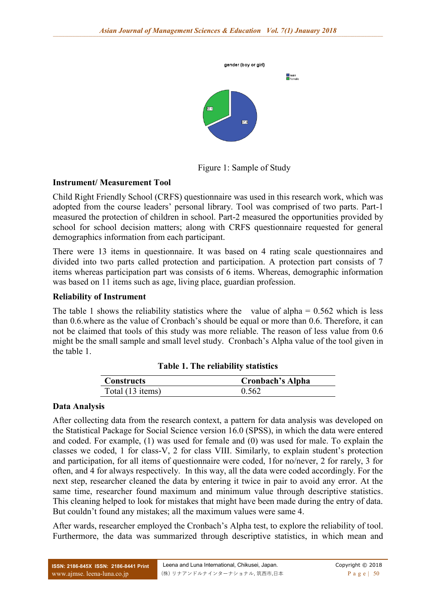

Figure 1: Sample of Study

#### **Instrument/ Measurement Tool**

Child Right Friendly School (CRFS) questionnaire was used in this research work, which was adopted from the course leaders' personal library. Tool was comprised of two parts. Part-1 measured the protection of children in school. Part-2 measured the opportunities provided by school for school decision matters; along with CRFS questionnaire requested for general demographics information from each participant.

There were 13 items in questionnaire. It was based on 4 rating scale questionnaires and divided into two parts called protection and participation. A protection part consists of 7 items whereas participation part was consists of 6 items. Whereas, demographic information was based on 11 items such as age, living place, guardian profession.

#### **Reliability of Instrument**

The table 1 shows the reliability statistics where the value of alpha  $= 0.562$  which is less than 0.6.where as the value of Cronbach's should be equal or more than 0.6. Therefore, it can not be claimed that tools of this study was more reliable. The reason of less value from 0.6 might be the small sample and small level study. Cronbach's Alpha value of the tool given in the table 1.

| <b>Constructs</b> | <b>Cronbach's Alpha</b> |
|-------------------|-------------------------|
| Total (13 items)  | 0.562                   |

#### **Table 1. The reliability statistics**

#### **Data Analysis**

After collecting data from the research context, a pattern for data analysis was developed on the Statistical Package for Social Science version 16.0 (SPSS), in which the data were entered and coded. For example, (1) was used for female and (0) was used for male. To explain the classes we coded, 1 for class-V, 2 for class VIII. Similarly, to explain student's protection and participation, for all items of questionnaire were coded, 1for no/never, 2 for rarely, 3 for often, and 4 for always respectively. In this way, all the data were coded accordingly. For the next step, researcher cleaned the data by entering it twice in pair to avoid any error. At the same time, researcher found maximum and minimum value through descriptive statistics. This cleaning helped to look for mistakes that might have been made during the entry of data. But couldn't found any mistakes; all the maximum values were same 4.

After wards, researcher employed the Cronbach's Alpha test, to explore the reliability of tool. Furthermore, the data was summarized through descriptive statistics, in which mean and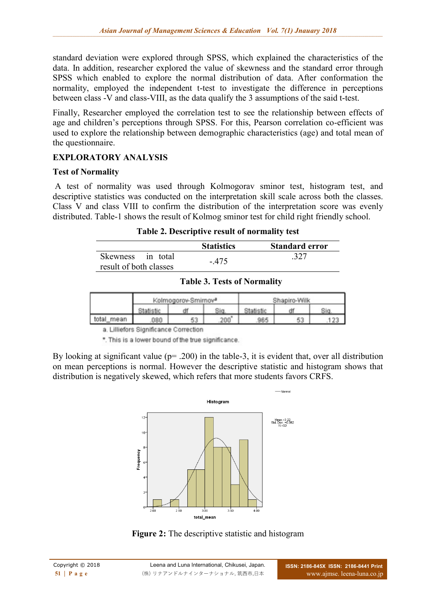standard deviation were explored through SPSS, which explained the characteristics of the data. In addition, researcher explored the value of skewness and the standard error through SPSS which enabled to explore the normal distribution of data. After conformation the normality, employed the independent t-test to investigate the difference in perceptions between class -V and class-VIII, as the data qualify the 3 assumptions of the said t-test.

Finally, Researcher employed the correlation test to see the relationship between effects of age and children's perceptions through SPSS. For this, Pearson correlation co-efficient was used to explore the relationship between demographic characteristics (age) and total mean of the questionnaire.

# **EXPLORATORY ANALYSIS**

## **Test of Normality**

A test of normality was used through Kolmogorav sminor test, histogram test, and descriptive statistics was conducted on the interpretation skill scale across both the classes. Class V and class VIII to confirm the distribution of the interpretation score was evenly distributed. Table-1 shows the result of Kolmog sminor test for child right friendly school.

| Table 2. Descriptive result of normality test |
|-----------------------------------------------|
|-----------------------------------------------|

|                        | <b>Statistics</b> | <b>Standard error</b> |
|------------------------|-------------------|-----------------------|
| Skewness in total      |                   | .327                  |
| result of both classes | $-475$            |                       |

|            | Kolmogorov-Smirnov <sup>a</sup> | Shapiro-Wilk |  |  |
|------------|---------------------------------|--------------|--|--|
|            |                                 |              |  |  |
| total_mean | 53                              |              |  |  |

**Table 3. Tests of Normality**

a. Lilliefors Significance Correction

\*. This is a lower bound of the true significance.

By looking at significant value ( $p=$  .200) in the table-3, it is evident that, over all distribution on mean perceptions is normal. However the descriptive statistic and histogram shows that distribution is negatively skewed, which refers that more students favors CRFS.



**Figure 2:** The descriptive statistic and histogram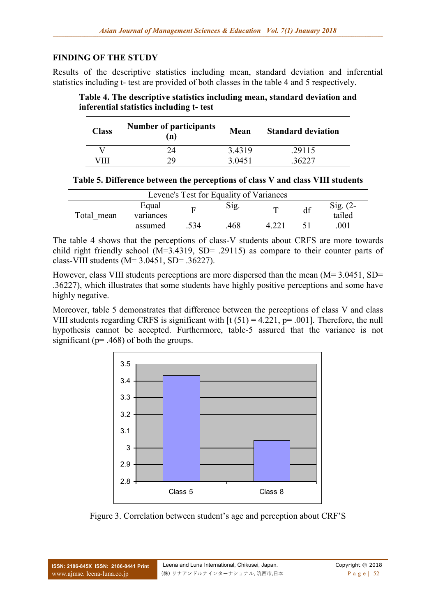## **FINDING OF THE STUDY**

Results of the descriptive statistics including mean, standard deviation and inferential statistics including t- test are provided of both classes in the table 4 and 5 respectively.

**Table 4. The descriptive statistics including mean, standard deviation and inferential statistics including t- test**

| <b>Class</b> | <b>Number of participants</b><br>(n) | <b>Mean</b> | <b>Standard deviation</b> |
|--------------|--------------------------------------|-------------|---------------------------|
|              | 24                                   | 3.4319      | .29115                    |
|              | 79.                                  | 3 0451      |                           |

**Table 5. Difference between the perceptions of class V and class VIII students**

| Levene's Test for Equality of Variances |                    |     |      |  |                      |
|-----------------------------------------|--------------------|-----|------|--|----------------------|
| Total mean                              | Equal<br>variances |     | Sig. |  | Sig. $(2-$<br>tailed |
|                                         | assumed            | 534 | 468  |  | 001                  |

The table 4 shows that the perceptions of class-V students about CRFS are more towards child right friendly school (M=3.4319, SD= .29115) as compare to their counter parts of class-VIII students (M= 3.0451, SD= .36227).

However, class VIII students perceptions are more dispersed than the mean (M= 3.0451, SD= .36227), which illustrates that some students have highly positive perceptions and some have highly negative.

Moreover, table 5 demonstrates that difference between the perceptions of class V and class VIII students regarding CRFS is significant with  $[t (51) = 4.221, p = .001]$ . Therefore, the null hypothesis cannot be accepted. Furthermore, table-5 assured that the variance is not significant ( $p = .468$ ) of both the groups.



Figure 3. Correlation between student's age and perception about CRF'S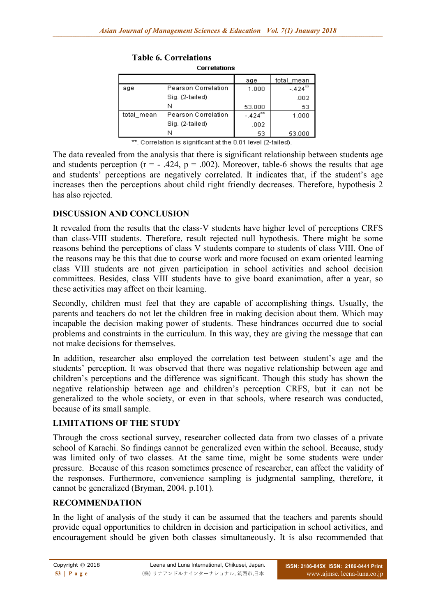| CONGIGUONS |                     |                       |             |  |  |
|------------|---------------------|-----------------------|-------------|--|--|
|            |                     | aqe                   | total mean  |  |  |
| aqe        | Pearson Correlation | 1.000                 | $-424^{**}$ |  |  |
|            | Sig. (2-tailed)     |                       | .002        |  |  |
|            | N                   | 53.000                | 53          |  |  |
| total mean | Pearson Correlation | $-.424$ <sup>**</sup> | 1.000       |  |  |
|            | Sig. (2-tailed)     | .002                  |             |  |  |
|            | N                   | 53                    | 53.000      |  |  |

**Table 6. Correlations** Corrolations

\*\*. Correlation is significant at the 0.01 level (2-tailed).

The data revealed from the analysis that there is significant relationship between students age and students perception ( $r = -0.424$ ,  $p = 0.002$ ). Moreover, table-6 shows the results that age and students' perceptions are negatively correlated. It indicates that, if the student's age increases then the perceptions about child right friendly decreases. Therefore, hypothesis 2 has also rejected.

## **DISCUSSION AND CONCLUSION**

It revealed from the results that the class-V students have higher level of perceptions CRFS than class-VIII students. Therefore, result rejected null hypothesis. There might be some reasons behind the perceptions of class V students compare to students of class VIII. One of the reasons may be this that due to course work and more focused on exam oriented learning class VIII students are not given participation in school activities and school decision committees. Besides, class VIII students have to give board exanimation, after a year, so these activities may affect on their learning.

Secondly, children must feel that they are capable of accomplishing things. Usually, the parents and teachers do not let the children free in making decision about them. Which may incapable the decision making power of students. These hindrances occurred due to social problems and constraints in the curriculum. In this way, they are giving the message that can not make decisions for themselves.

In addition, researcher also employed the correlation test between student's age and the students' perception. It was observed that there was negative relationship between age and children's perceptions and the difference was significant. Though this study has shown the negative relationship between age and children's perception CRFS, but it can not be generalized to the whole society, or even in that schools, where research was conducted, because of its small sample.

## **LIMITATIONS OF THE STUDY**

Through the cross sectional survey, researcher collected data from two classes of a private school of Karachi. So findings cannot be generalized even within the school. Because, study was limited only of two classes. At the same time, might be some students were under pressure. Because of this reason sometimes presence of researcher, can affect the validity of the responses. Furthermore, convenience sampling is judgmental sampling, therefore, it cannot be generalized (Bryman, 2004. p.101).

## **RECOMMENDATION**

In the light of analysis of the study it can be assumed that the teachers and parents should provide equal opportunities to children in decision and participation in school activities, and encouragement should be given both classes simultaneously. It is also recommended that